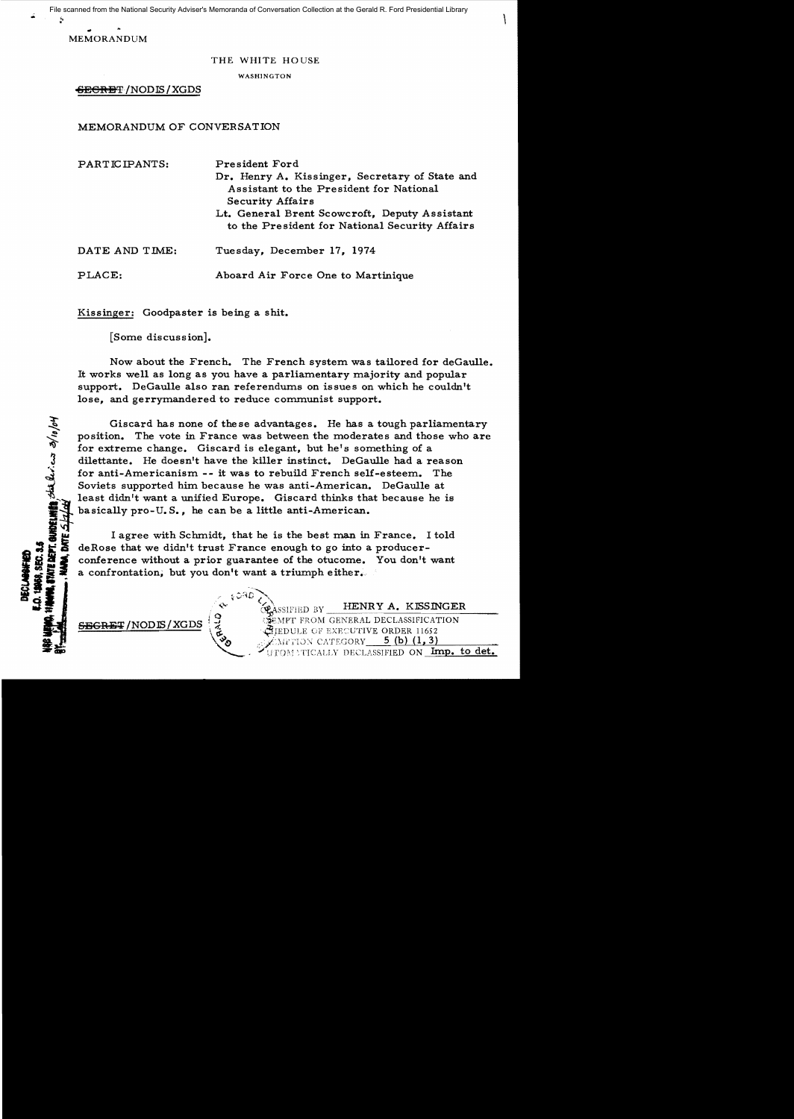MEMORANDUM

## THE WHITE HOUSE

WASH1NGTON

GEGRET / NODIS / XGDS

# MEMORANDUM OF CONVERSATION

| PARTICIPANTS:  | President Ford<br>Dr. Henry A. Kissinger, Secretary of State and<br>Assistant to the President for National<br><b>Security Affairs</b><br>Lt. General Brent Scowcroft, Deputy Assistant<br>to the President for National Security Affairs |
|----------------|-------------------------------------------------------------------------------------------------------------------------------------------------------------------------------------------------------------------------------------------|
| DATE AND TIME: | Tuesday, December 17, 1974                                                                                                                                                                                                                |
| PLACE:         | Aboard Air Force One to Martinique                                                                                                                                                                                                        |

Kissinger: Goodpaster is being a shit.

[Some discussion].

Now about the French. The French system was tailored for deGaulle. It works well as long as you have a parliamentary majority and popular support. DeGaulle also ran referendums on issues on which he couldn't lose, and gerrymandered to reduce communist support.

Giscard has none of these advantages. He has a tough parliamentary position. The vote in France was between the moderates and those who are for extreme change. Giscard is elegant, but he's something of a dilettante. He doesn't have the killer instinct. DeGaulle had a reason ...: for anti-Americanism -- it was to rebuild French self-esteem. The Soviets supported him because he was anti-American. DeGaulle at least didn't want a unified Europe. Giscard thinks that because he is basically pro-U.S., he can be a little anti-American.

I agree with Schmidt, that he is the best man in France. I told  $\frac{1}{2}$   $\frac{1}{2}$  deRose that we didn't trust France enough to go into a producer- $\ddot{\mathbf{z}}$  conference without a prior guarantee of the otucome. You don't want<br>  $\ddot{\mathbf{z}}$  a confrontation, but you don't want a triumph either. a confrontation, but you don't want a triumph either.  $\begin{pmatrix} 3 & 1 & 1 & 1 \\ 1 & 1 & 1 & 1 \\ 1 & 1 & 1 & 1 \\ 1 & 1 & 1 & 1 \\ 1 & 1 & 1 & 1 \\ 1 & 1 & 1 & 1 \\ 1 & 1 & 1 & 1 \\ 1 & 1 & 1 & 1 \\ 1 & 1 & 1 & 1 \\ 1 & 1 & 1 & 1 \\ 1 & 1 & 1 & 1 \\ 1 & 1 & 1 & 1 \\ 1 & 1 & 1 & 1 \\ 1 & 1 & 1 & 1 \\ 1 & 1 & 1 & 1 \\ 1 & 1 & 1 & 1 \\ 1 & 1 & 1 & 1 \\ 1 & 1 & 1 &$ 

 $\mathcal{L}^{'}$ 

SEC. 3.5<br>12 AEFT. GUIDELHI**EA** ,<br>1

**ECLABATED** 

**ince the SEAS EXERCISE SERVICE SEXES THE SEARCH ARE SERVICE SEARCH AT A SEXE OF EXECUTIVE ORDER 11652** SBGRE:r!NODlS!XGDS 1 *\_I* '.~E:\1PT FJtOM GENERAL DECLASSIFICATION **\#**JEDULE OF EXECUTIVE ORDER 11652<br>\\\\\\\\TION CATEGORY\_\_\_5 (b) (1,3) MFTION CATEGORY **......** ATICALLY DECLASSIFIED ON Imp. to det.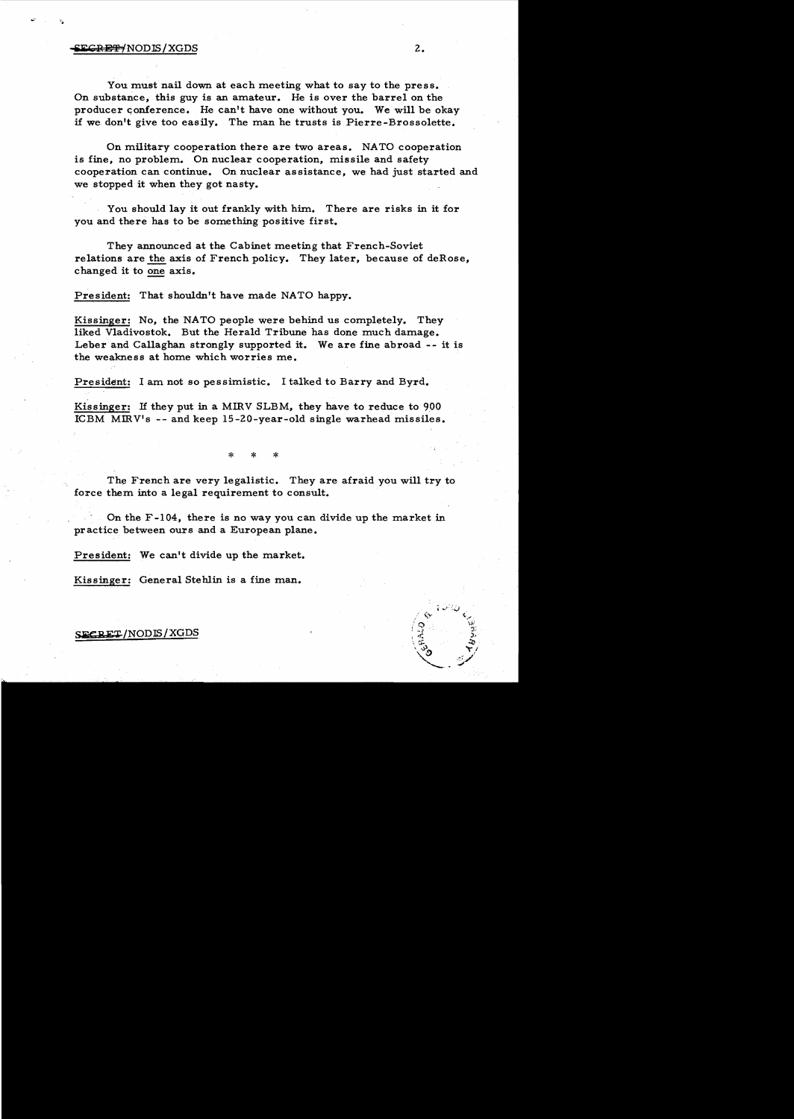#### **SEGRET/NODIS/XGDS**

You must nail down at each meeting what to say to the press. On substance, this guy is an amateur. He is over the barrel on the producer conference. He can't have one without you. We will be okay if we don't give too easily. The man he trusts is Pierre -Brossolette.

On military cooperation there are two areas. NATO cooperation is fine, no problem. On nuclear cooperation, missile and safety cooperation can continue. On nuclear assistance, we had just started and we stopped it when they got nasty.

You should lay it out frankly with him. There are risks in it for you and there has to be something positive first.

They announced at the Cabinet meeting that French-Soviet relations are the axis of French policy. They later, because of deRose, changed it to one axis.

President: That shouldn't have made NATO happy.

Kissinger: No, the NATO people were behind us completely. They liked Vladivostok. But the Herald Tribune has done much damage. Leber and Callaghan strongly supported it. We are fine abroad -- it is the weakness at home which worries me.

President: I am not so pessimistic. I talked to Barry and Byrd.

Kissinger: If they put in a MIRV SLBM, they have to reduce to 900 ICBM MIRV's -- and keep 15-20-year-old single warhead missiles.

\* \* \*

The French are very legalistic. They are afraid you will try to force them into a legal requirement to consult.

On the F-I04, there is no way you can divide up the market in practice between ours and a European plane.

President: We can't divide up the market.

Kissinger: General Stehlin is a fine man.

SFCRET/NODIS/XGDS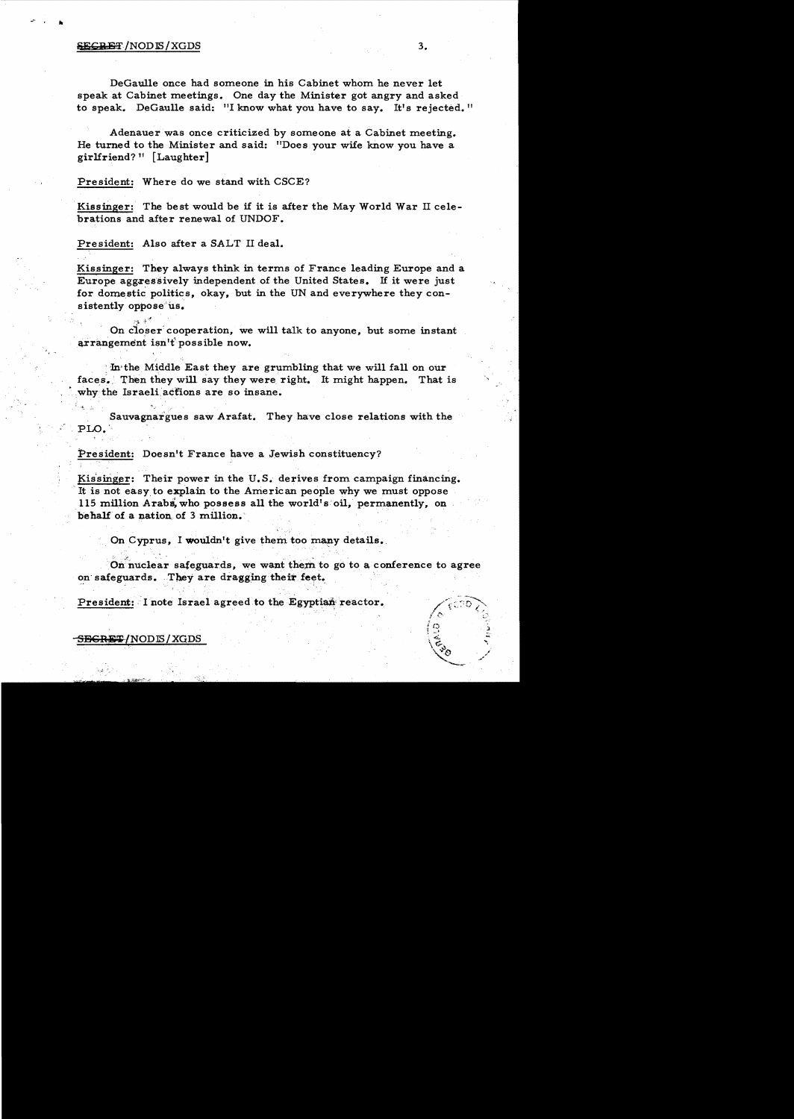#### $S_{\text{S}}$  is the set of  $\sim$  3.

..

DeGaulle once had someone in his Cabinet whom he never let speak at Cabinet meetings. One day the Minister got angry and asked to speak. DeGaulle said: "I know what you have to say. It's rejected."

Adenauer was once criticized by someone at a Cabinet meeting. He turned to the Minister and said: "Does your wife know you have a girlfriend? 11 [Laughter]

President: Where do we stand with CSCE?

Kissinger: The best would be if it is after the May World War II cele brations and after renewal of UNDOF.

President: Also after a SALT II deal.

,"'1, +~'!

Kissinger: They always think in terms of France leading Europe and a Europe aggressively independent of the United States. If it were just for domestic politics, okay, but in the UN and everywhere they consistently oppose<sup>tus.</sup>

On closer cooperation, we will talk to anyone, but some instant arrangement isn't possible now.

: In·the Middle East they are grumbling that we will fall on our faces. Then they will say they were right. It might happen. That is why the Israeli actions are so insane.

Sauvagnargues saw Arafat. They have close relations with the PLO.'

President: Doesn't France have a Jewish constituency?

Kissinger: Their power in the U.S. derives from campaign financing. It is not easy to explain to the American people why we must oppose 115 million Arabs, who possess all the world's oil, permanently, on behalf of a nation of 3 million.

On Cyprus, I wouldn't give them too many details.

On nuclear safeguards, we want them to go to a conference to agree on safeguards. They are dragging their feet.

President: I note Israel agreed to the Egyptian reactor.

 $S$ EGRET/NODIS/XGDS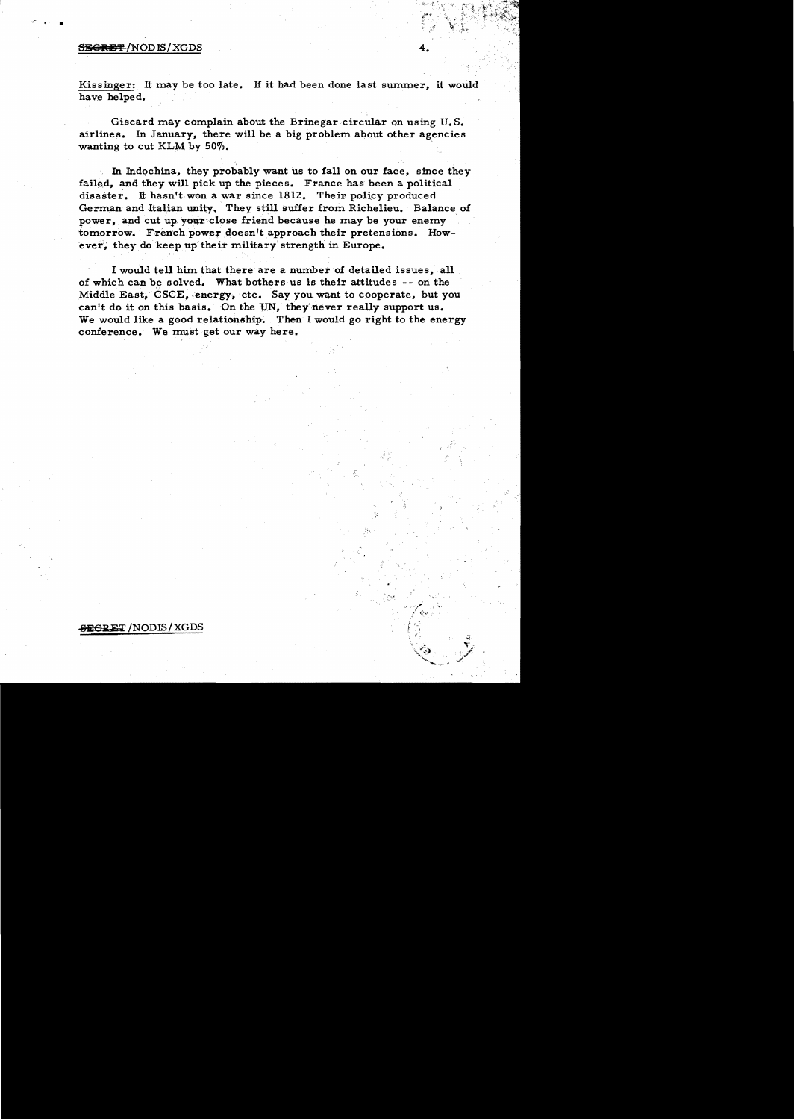#### SEGRET/NODIS/XGDS

...

Kissinger: It may be too late. If it had been done last summer, it would have helped.

Giscard may complain about the Brinegar circular on using U. S. airlines. In January, there will be a big problem about other agencies wanting to cut KLM by  $50\%$ .

In Indochina, they probably want us to fall on our face, since they failed, and they will pick up the pieces. France has been a political disaster. It hasn't won a war since 1812. Their policy produced German and Italian unity. They still suffer from Richelieu. Balance of power, and cut up your close friend because he may be your enemy tomorrow. French power doesn't approach their pretensions. However. they do keep up their military strength in Europe.

I would tell him that there are a number of detailed issues, all of which can be solved. What bothers us is their attitudes -- on the Middle East, CSCE, energy, etc. Say you want to cooperate, but you can't do it on this basis. On the UN, they never really support us. We would like a good relationship. Then I would go right to the energy conference. We must get our way here.

> ~ '.., f~"~' :'

### ~E7' /NODIS/XGDS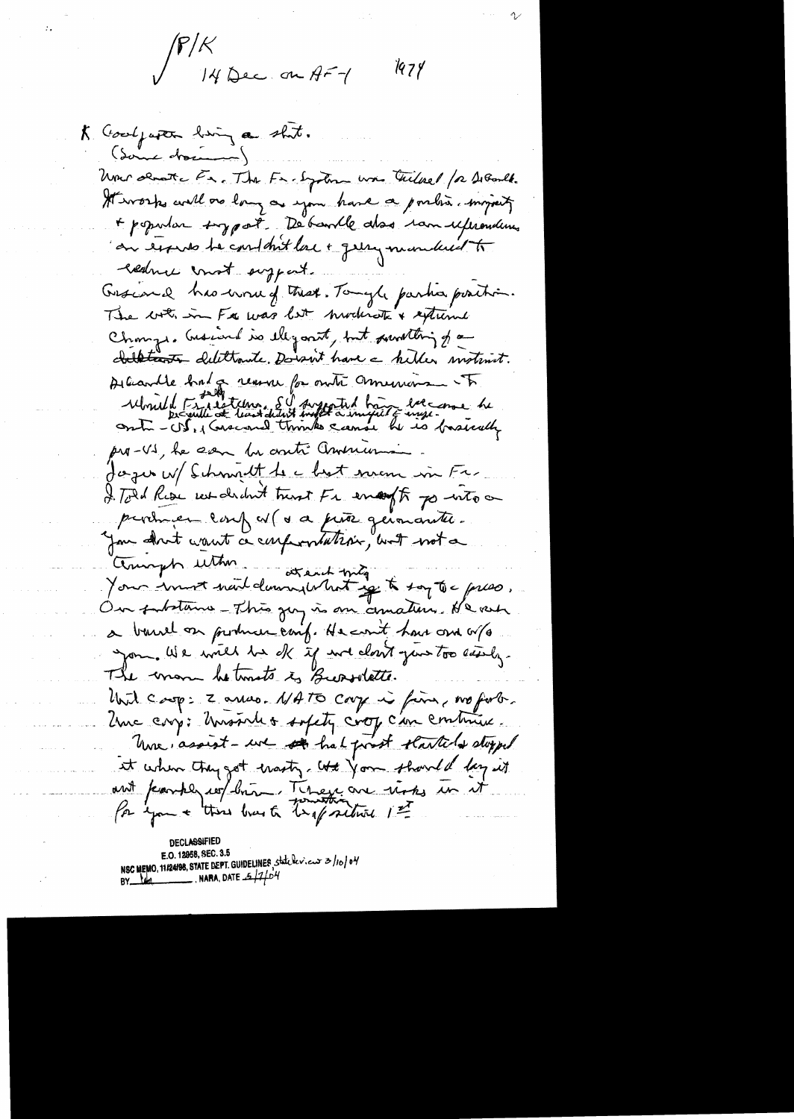$\mathcal{F}/\mathcal{K}$ 14 Dec. on AF-1

1974

K Goodpaper him a shit. (dame dramment) Uni demante En. The Freezohn was tilled for DeBarlt. Hivorks will go long a you have a portion myseity + popular toggat. De bankle also ran uferonderes on terms te content lac + gern mondant to everture const support. Graciand has worked that. Tomyle parties position. The with in Fig was let moderate & extreme Change, Gusiand is ellipanit, but surviting of a childrent delittante. Dorant have a hiller motivat. Albandte had a reason for outre memoire et a pro-VS, he can be onti Americani Jager W/ Schmitt to a best man in Fr. I. Told Rise we dedn't trent Fr enought po write a producer confu(a a piña germanter. you dont want a conformation, with not a Compte utter avant moyen montg.<br>Your somet mout dominale hat get to soy to a press. Our substance - This gay is one comation. He ver a barrel on produce canf. He count have one or /a you. We will be de if not cloud your too easily. The mom hetmats is Bursolette. that casp: 2 arras. NATO carp is firm, no fort. Une cry: Unstales sofety crop can continue. Were assist - we see hat post starteds stopped at when they got masty that you should lay it ant parkly we bring There are not in it Par you + this love to trapartire 1st

CI ASSIF E.O. 12958, SEC. 3.5 NSC MEMO, 11/24/98, STATE DEPT. GUIDELINES, state levieux 3/10/04 NARA, DATE  $-5/7/04$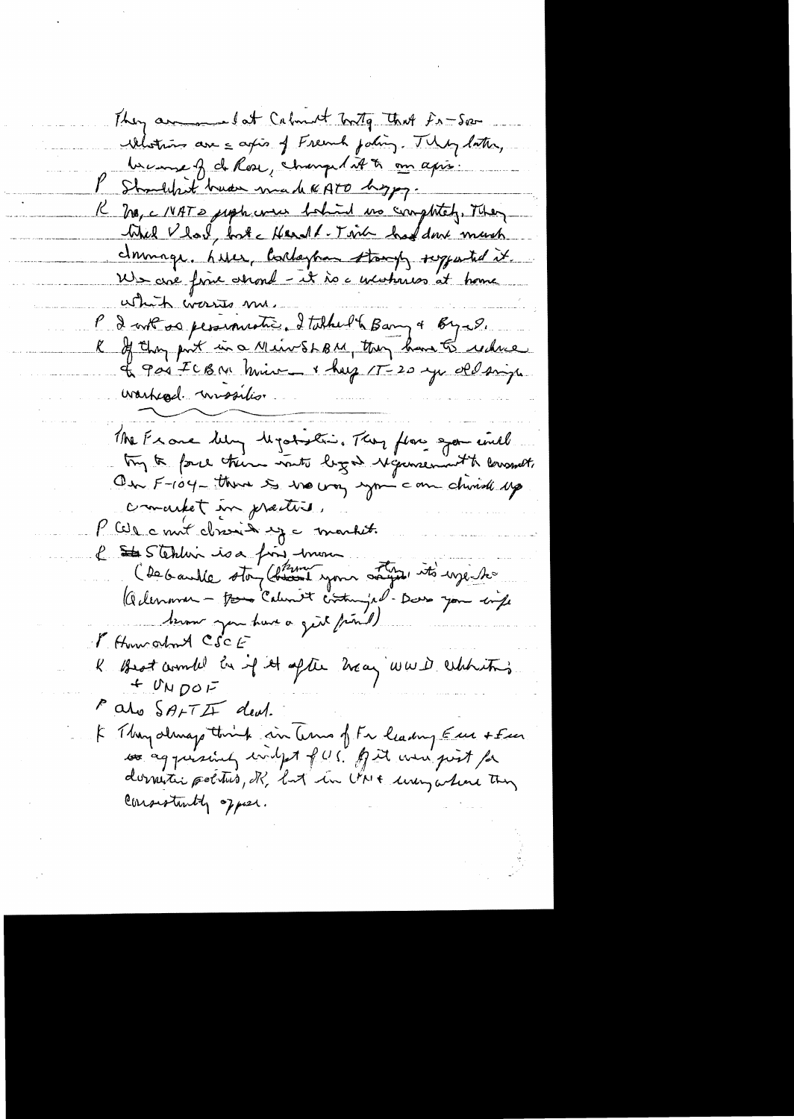They are lat Calment Tonty That Fr-Sec Mituns are a agis of Freemh poling. They later, because of de Rose, changed it to an apri-Shouldn't huder made KATO hoppy. K Mg, c IVATS just were behind no completely. They Whel Vlool, but Kerall-Touch had done much domings, here, barlaytion stamps superted it. Us avec fine attend - it is a unishmen at home which wasses me. P 2 out os persionnation 2 talked & Bany + Byer. Le goi ICBM mine & huy 1T-20 yu del sign warked. wissilis. The Exare belong Mystration, They flow spor until try to force there wants logon Myconsenant to lowsmet. On F-104-there is no way you can chind up concrete in pretties P Cele court close de martit l Stehlin is a fin mon C'environnement de la Comme de la comme de la comme de la comme de la Comme de la Comme de la comme de la comme de la comme de la comme de la comme de la comme de la comme de la comme de la comme de la comme de la comme de brown you have a get friend) Mittour about CSCE K Brot combi en if it after haag was dehtiting  $+$   $U_{N}$   $D$ O $F$ alo SAFTI deal. I Thoughtoughthink in Curs of Fr leading Euro + Fen so aggressively indept fors. And were just for domestic poetro, R, but in UNI uning where they Consistantly of pier.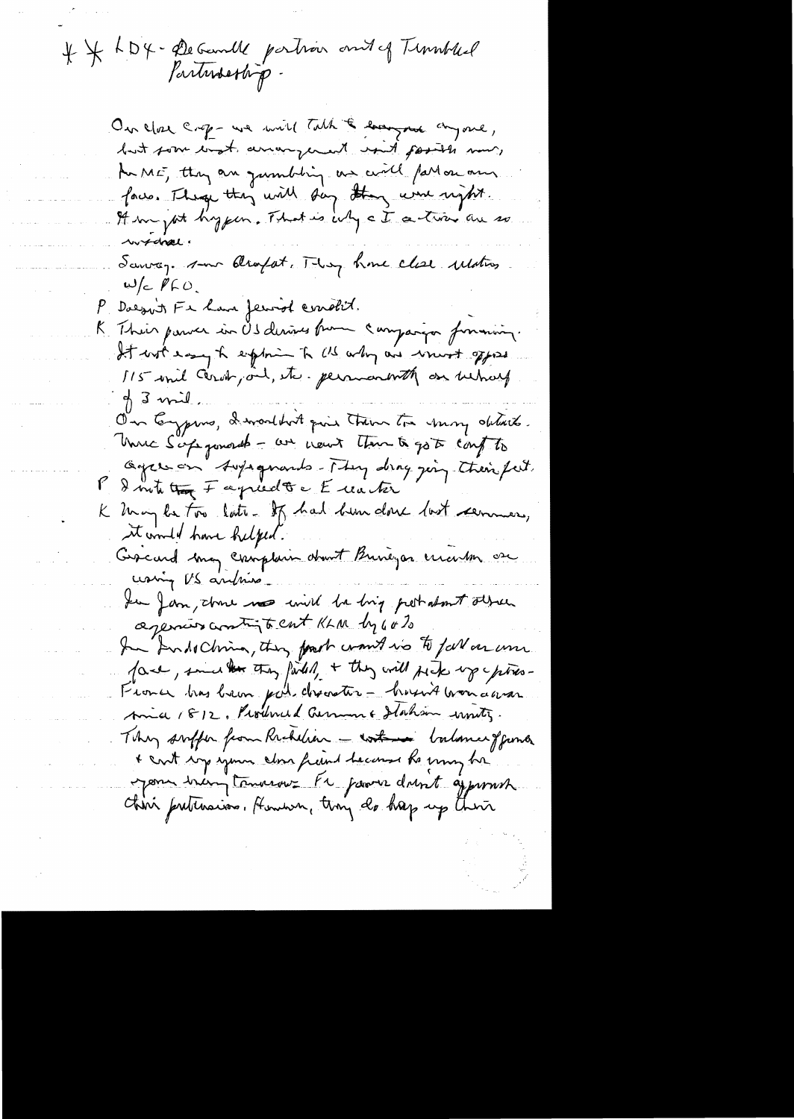4 \* KD4 - De Geomble partier and of Tunnbled

On close crop - we will talk & long not cryone, but som with anonywer? with posits now, An ME, they are jumbiling us will fall on our face. They they will say they were right. It m jut hyper. That is ing a I a trier are so wrotoval! Sanrage some Oliopat. They have clear ulation  $w/c$   $p c$ P Daegoit Fe have feroid condit. K Their parver in Os derives from companyon formaning. It with easy to explore to US why are won't offered 115 will Cervin, and, etc. permanenth on unions  $\not\parallel$  3 mil. On Eypins, I workbut qui them to my details. Unic S'apparent - au nout tour à got cont to Ogres on Aupagnants-They drag ging their feit. P & mite that Fagriculte Euater K May la Foir loite. If had been donc last cermais, it would have helped. Gescard may complain about Buneyas creation are using US andrise for form, there was will be big prestations absent agencies antigts cut KLM by 60% In Andochina, they fourt want no to full aroun. face, smaller they failed, + they will pick up piece-Fronce has been put dreaster - housing won daran Amia 1812. Produced German & Haham wontz. They suffer from Richelier - with halance of fund + cont soys your close from heard to my be Mon bringtomarme Pr parve dont approach China preteraion. Human, tiny do hap up there